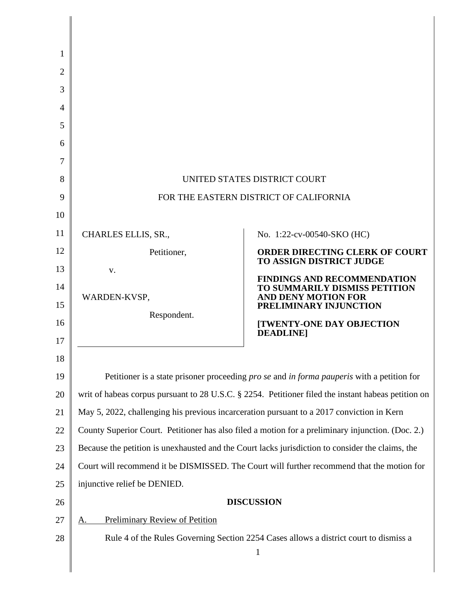| 1        |                                                                                                          |                                                                                       |  |
|----------|----------------------------------------------------------------------------------------------------------|---------------------------------------------------------------------------------------|--|
| 2        |                                                                                                          |                                                                                       |  |
| 3        |                                                                                                          |                                                                                       |  |
| 4        |                                                                                                          |                                                                                       |  |
| 5        |                                                                                                          |                                                                                       |  |
| 6        |                                                                                                          |                                                                                       |  |
| 7        |                                                                                                          |                                                                                       |  |
| 8        | UNITED STATES DISTRICT COURT                                                                             |                                                                                       |  |
| 9        | FOR THE EASTERN DISTRICT OF CALIFORNIA                                                                   |                                                                                       |  |
| 10       |                                                                                                          |                                                                                       |  |
| 11       | CHARLES ELLIS, SR.,                                                                                      | No. 1:22-cv-00540-SKO (HC)                                                            |  |
| 12       | Petitioner,                                                                                              | <b>ORDER DIRECTING CLERK OF COURT</b><br><b>TO ASSIGN DISTRICT JUDGE</b>              |  |
| 13       | V.                                                                                                       | <b>FINDINGS AND RECOMMENDATION</b>                                                    |  |
| 14<br>15 | WARDEN-KVSP,                                                                                             | TO SUMMARILY DISMISS PETITION<br><b>AND DENY MOTION FOR</b><br>PRELIMINARY INJUNCTION |  |
| 16       | Respondent.                                                                                              | <b>[TWENTY-ONE DAY OBJECTION</b>                                                      |  |
| 17       |                                                                                                          | <b>DEADLINE</b>                                                                       |  |
| 18       |                                                                                                          |                                                                                       |  |
| 19       | Petitioner is a state prisoner proceeding <i>pro se</i> and <i>in forma pauperis</i> with a petition for |                                                                                       |  |
| 20       | writ of habeas corpus pursuant to 28 U.S.C. § 2254. Petitioner filed the instant habeas petition on      |                                                                                       |  |
| 21       | May 5, 2022, challenging his previous incarceration pursuant to a 2017 conviction in Kern                |                                                                                       |  |
| 22       | County Superior Court. Petitioner has also filed a motion for a preliminary injunction. (Doc. 2.)        |                                                                                       |  |
| 23       | Because the petition is unexhausted and the Court lacks jurisdiction to consider the claims, the         |                                                                                       |  |
| 24       | Court will recommend it be DISMISSED. The Court will further recommend that the motion for               |                                                                                       |  |
| 25       | injunctive relief be DENIED.                                                                             |                                                                                       |  |
| 26       | <b>DISCUSSION</b>                                                                                        |                                                                                       |  |
| 27       | <b>Preliminary Review of Petition</b><br>А                                                               |                                                                                       |  |
| 28       | Rule 4 of the Rules Governing Section 2254 Cases allows a district court to dismiss a                    |                                                                                       |  |
|          |                                                                                                          | $\mathbf{1}$                                                                          |  |
|          |                                                                                                          |                                                                                       |  |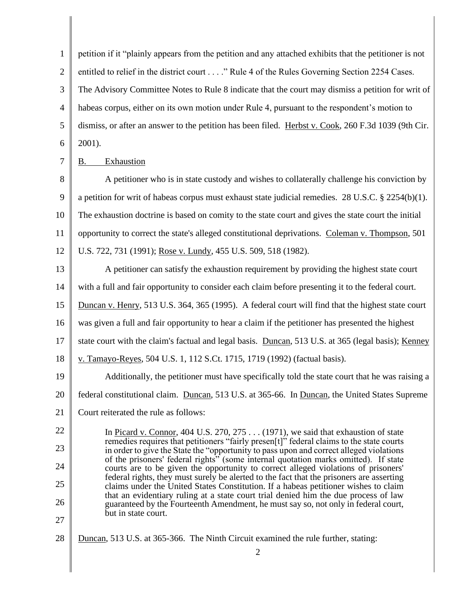1 2 3 4 5 6 petition if it "plainly appears from the petition and any attached exhibits that the petitioner is not entitled to relief in the district court . . . ." Rule 4 of the Rules Governing Section 2254 Cases. The Advisory Committee Notes to Rule 8 indicate that the court may dismiss a petition for writ of habeas corpus, either on its own motion under Rule 4, pursuant to the respondent's motion to dismiss, or after an answer to the petition has been filed. Herbst v. Cook, 260 F.3d 1039 (9th Cir. 2001).

7 B. Exhaustion

8 9 10 11 A petitioner who is in state custody and wishes to collaterally challenge his conviction by a petition for writ of habeas corpus must exhaust state judicial remedies. 28 U.S.C. § 2254(b)(1). The exhaustion doctrine is based on comity to the state court and gives the state court the initial opportunity to correct the state's alleged constitutional deprivations. Coleman v. Thompson, 501

12 U.S. 722, 731 (1991); Rose v. Lundy, 455 U.S. 509, 518 (1982).

13 14 15 16 17 18 19 A petitioner can satisfy the exhaustion requirement by providing the highest state court with a full and fair opportunity to consider each claim before presenting it to the federal court. Duncan v. Henry, 513 U.S. 364, 365 (1995). A federal court will find that the highest state court was given a full and fair opportunity to hear a claim if the petitioner has presented the highest state court with the claim's factual and legal basis. Duncan, 513 U.S. at 365 (legal basis); Kenney v. Tamayo-Reyes, 504 U.S. 1, 112 S.Ct. 1715, 1719 (1992) (factual basis). Additionally, the petitioner must have specifically told the state court that he was raising a

- 20 federal constitutional claim. Duncan, 513 U.S. at 365-66. In Duncan, the United States Supreme
- 21 Court reiterated the rule as follows:
- 22 23 24 25 26 In Picard v. Connor, 404 U.S. 270, 275 . . . (1971), we said that exhaustion of state remedies requires that petitioners "fairly presen[t]" federal claims to the state courts in order to give the State the "opportunity to pass upon and correct alleged violations of the prisoners' federal rights" (some internal quotation marks omitted). If state courts are to be given the opportunity to correct alleged violations of prisoners' federal rights, they must surely be alerted to the fact that the prisoners are asserting claims under the United States Constitution. If a habeas petitioner wishes to claim that an evidentiary ruling at a state court trial denied him the due process of law guaranteed by the Fourteenth Amendment, he must say so, not only in federal court, but in state court.
- 27
- 28 Duncan, 513 U.S. at 365-366. The Ninth Circuit examined the rule further, stating: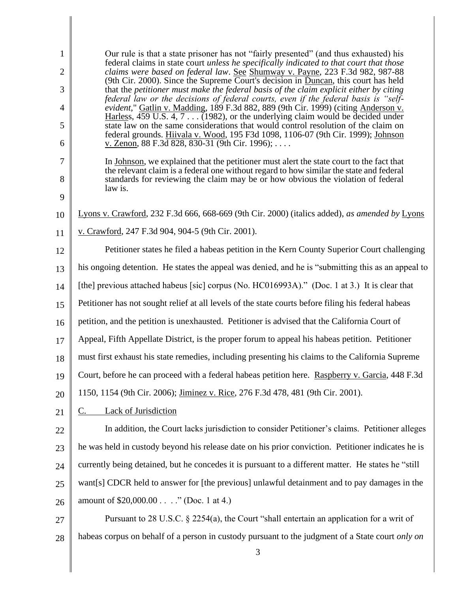| $\mathbf{1}$<br>$\overline{2}$<br>3 | Our rule is that a state prisoner has not "fairly presented" (and thus exhausted) his<br>federal claims in state court <i>unless he specifically indicated to that court that those</i><br>claims were based on federal law. See Shumway v. Payne, 223 F.3d 982, 987-88<br>(9th Cir. 2000). Since the Supreme Court's decision in Duncan, this court has held<br>that the petitioner must make the federal basis of the claim explicit either by citing |
|-------------------------------------|---------------------------------------------------------------------------------------------------------------------------------------------------------------------------------------------------------------------------------------------------------------------------------------------------------------------------------------------------------------------------------------------------------------------------------------------------------|
| $\overline{4}$                      | federal law or the decisions of federal courts, even if the federal basis is "self-<br>evident," Gatlin v. Madding, 189 F.3d 882, 889 (9th Cir. 1999) (citing Anderson v.                                                                                                                                                                                                                                                                               |
| 5                                   | Harless, 459 U.S. $4, 7$ (1982), or the underlying claim would be decided under<br>state law on the same considerations that would control resolution of the claim on                                                                                                                                                                                                                                                                                   |
| 6                                   | federal grounds. Hiivala v. Wood, 195 F3d 1098, 1106-07 (9th Cir. 1999); Johnson<br>v. Zenon, 88 F.3d 828, 830-31 (9th Cir. 1996);                                                                                                                                                                                                                                                                                                                      |
| $\tau$<br>8                         | In Johnson, we explained that the petitioner must alert the state court to the fact that<br>the relevant claim is a federal one without regard to how similar the state and federal<br>standards for reviewing the claim may be or how obvious the violation of federal<br>law is.                                                                                                                                                                      |
| 9                                   |                                                                                                                                                                                                                                                                                                                                                                                                                                                         |
| 10                                  | Lyons v. Crawford, 232 F.3d 666, 668-669 (9th Cir. 2000) (italics added), as amended by Lyons                                                                                                                                                                                                                                                                                                                                                           |
| 11                                  | v. Crawford, 247 F.3d 904, 904-5 (9th Cir. 2001).                                                                                                                                                                                                                                                                                                                                                                                                       |
| 12                                  | Petitioner states he filed a habeas petition in the Kern County Superior Court challenging                                                                                                                                                                                                                                                                                                                                                              |
| 13                                  | his ongoing detention. He states the appeal was denied, and he is "submitting this as an appeal to                                                                                                                                                                                                                                                                                                                                                      |
| 14                                  | [the] previous attached habeus [sic] corpus (No. HC016993A)." (Doc. 1 at 3.) It is clear that                                                                                                                                                                                                                                                                                                                                                           |
| 15                                  | Petitioner has not sought relief at all levels of the state courts before filing his federal habeas                                                                                                                                                                                                                                                                                                                                                     |
| 16                                  | petition, and the petition is unexhausted. Petitioner is advised that the California Court of                                                                                                                                                                                                                                                                                                                                                           |
| 17                                  | Appeal, Fifth Appellate District, is the proper forum to appeal his habeas petition. Petitioner                                                                                                                                                                                                                                                                                                                                                         |
| 18                                  | must first exhaust his state remedies, including presenting his claims to the California Supreme                                                                                                                                                                                                                                                                                                                                                        |
| 19                                  | Court, before he can proceed with a federal habeas petition here. Raspberry v. Garcia, 448 F.3d                                                                                                                                                                                                                                                                                                                                                         |
| 20                                  | 1150, 1154 (9th Cir. 2006); <i>Jiminez v. Rice</i> , 276 F.3d 478, 481 (9th Cir. 2001).                                                                                                                                                                                                                                                                                                                                                                 |
| 21                                  | <b>Lack of Jurisdiction</b><br>C.                                                                                                                                                                                                                                                                                                                                                                                                                       |
| 22                                  | In addition, the Court lacks jurisdiction to consider Petitioner's claims. Petitioner alleges                                                                                                                                                                                                                                                                                                                                                           |
| 23                                  | he was held in custody beyond his release date on his prior conviction. Petitioner indicates he is                                                                                                                                                                                                                                                                                                                                                      |
| 24                                  | currently being detained, but he concedes it is pursuant to a different matter. He states he "still                                                                                                                                                                                                                                                                                                                                                     |
| 25                                  | want[s] CDCR held to answer for [the previous] unlawful detainment and to pay damages in the                                                                                                                                                                                                                                                                                                                                                            |
| 26                                  | amount of \$20,000.00" (Doc. 1 at 4.)                                                                                                                                                                                                                                                                                                                                                                                                                   |
| 27                                  | Pursuant to 28 U.S.C. § 2254(a), the Court "shall entertain an application for a writ of                                                                                                                                                                                                                                                                                                                                                                |
| 28                                  | habeas corpus on behalf of a person in custody pursuant to the judgment of a State court only on                                                                                                                                                                                                                                                                                                                                                        |
|                                     | 3                                                                                                                                                                                                                                                                                                                                                                                                                                                       |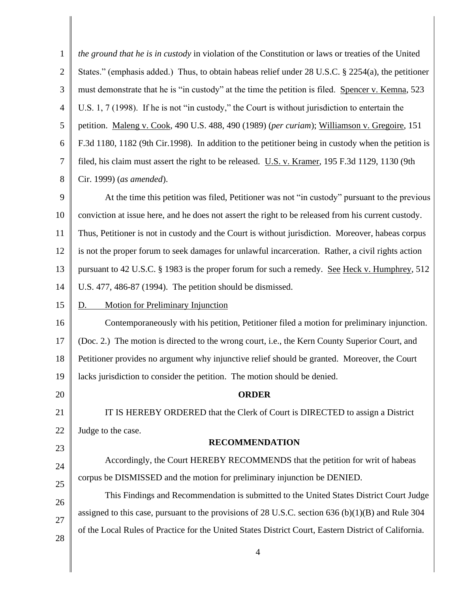| $\mathbf{1}$   | the ground that he is in custody in violation of the Constitution or laws or treaties of the United  |  |  |
|----------------|------------------------------------------------------------------------------------------------------|--|--|
| $\mathbf{2}$   | States." (emphasis added.) Thus, to obtain habeas relief under 28 U.S.C. § 2254(a), the petitioner   |  |  |
| 3              | must demonstrate that he is "in custody" at the time the petition is filed. Spencer v. Kemna, 523    |  |  |
| $\overline{4}$ | U.S. 1, 7 (1998). If he is not "in custody," the Court is without jurisdiction to entertain the      |  |  |
| 5              | petition. Maleng v. Cook, 490 U.S. 488, 490 (1989) (per curiam); Williamson v. Gregoire, 151         |  |  |
| 6              | F.3d 1180, 1182 (9th Cir.1998). In addition to the petitioner being in custody when the petition is  |  |  |
| 7              | filed, his claim must assert the right to be released. U.S. v. Kramer, 195 F.3d 1129, 1130 (9th      |  |  |
| 8              | Cir. 1999) (as amended).                                                                             |  |  |
| 9              | At the time this petition was filed, Petitioner was not "in custody" pursuant to the previous        |  |  |
| 10             | conviction at issue here, and he does not assert the right to be released from his current custody.  |  |  |
| 11             | Thus, Petitioner is not in custody and the Court is without jurisdiction. Moreover, habeas corpus    |  |  |
| 12             | is not the proper forum to seek damages for unlawful incarceration. Rather, a civil rights action    |  |  |
| 13             | pursuant to 42 U.S.C. § 1983 is the proper forum for such a remedy. See Heck v. Humphrey, 512        |  |  |
| 14             | U.S. 477, 486-87 (1994). The petition should be dismissed.                                           |  |  |
| 15             | <b>Motion for Preliminary Injunction</b><br>D.                                                       |  |  |
| 16             | Contemporaneously with his petition, Petitioner filed a motion for preliminary injunction.           |  |  |
| 17             | (Doc. 2.) The motion is directed to the wrong court, i.e., the Kern County Superior Court, and       |  |  |
| 18             | Petitioner provides no argument why injunctive relief should be granted. Moreover, the Court         |  |  |
|                | 19    lacks jurisdiction to consider the petition. The motion should be denied.                      |  |  |
| 20             | <b>ORDER</b>                                                                                         |  |  |
| 21             | IT IS HEREBY ORDERED that the Clerk of Court is DIRECTED to assign a District                        |  |  |
| 22             | Judge to the case.                                                                                   |  |  |
| 23             | <b>RECOMMENDATION</b>                                                                                |  |  |
| 24             | Accordingly, the Court HEREBY RECOMMENDS that the petition for writ of habeas                        |  |  |
| 25             | corpus be DISMISSED and the motion for preliminary injunction be DENIED.                             |  |  |
| 26             | This Findings and Recommendation is submitted to the United States District Court Judge              |  |  |
| 27             | assigned to this case, pursuant to the provisions of 28 U.S.C. section 636 (b) $(1)(B)$ and Rule 304 |  |  |
| 28             | of the Local Rules of Practice for the United States District Court, Eastern District of California. |  |  |
|                | $\overline{4}$                                                                                       |  |  |